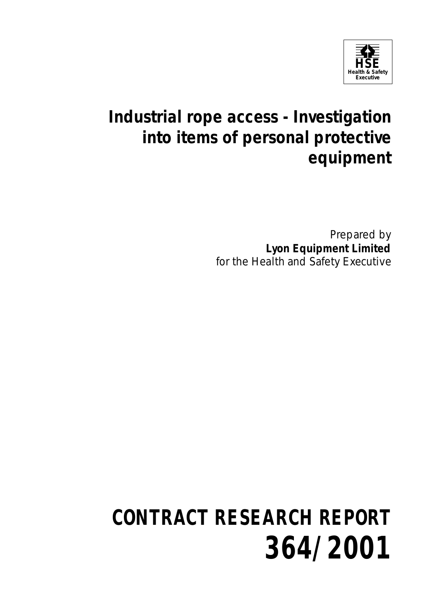

## **Industrial rope access - Investigation into items of personal protective equipment**

Prepared by **Lyon Equipment Limited** for the Health and Safety Executive

# **CONTRACT RESEARCH REPORT 364/2001**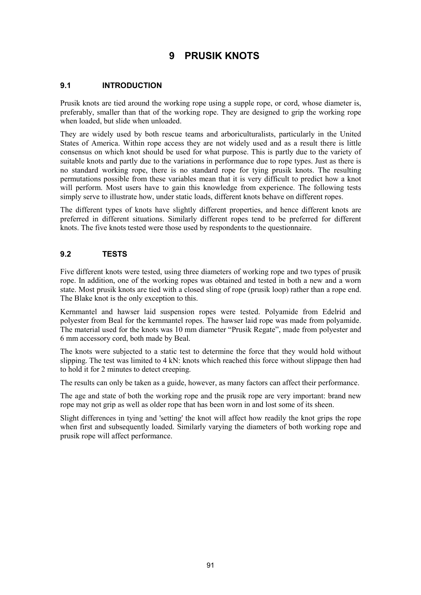### **9 PRUSIK KNOTS**

#### **9.1 INTRODUCTION**

Prusik knots are tied around the working rope using a supple rope, or cord, whose diameter is, preferably, smaller than that of the working rope. They are designed to grip the working rope when loaded, but slide when unloaded.

They are widely used by both rescue teams and arboriculturalists, particularly in the United States of America. Within rope access they are not widely used and as a result there is little consensus on which knot should be used for what purpose. This is partly due to the variety of suitable knots and partly due to the variations in performance due to rope types. Just as there is no standard working rope, there is no standard rope for tying prusik knots. The resulting permutations possible from these variables mean that it is very difficult to predict how a knot will perform. Most users have to gain this knowledge from experience. The following tests simply serve to illustrate how, under static loads, different knots behave on different ropes.

The different types of knots have slightly different properties, and hence different knots are preferred in different situations. Similarly different ropes tend to be preferred for different knots. The five knots tested were those used by respondents to the questionnaire.

#### **9.2 TESTS**

Five different knots were tested, using three diameters of working rope and two types of prusik rope. In addition, one of the working ropes was obtained and tested in both a new and a worn state. Most prusik knots are tied with a closed sling of rope (prusik loop) rather than a rope end. The Blake knot is the only exception to this.

Kernmantel and hawser laid suspension ropes were tested. Polyamide from Edelrid and polyester from Beal for the kernmantel ropes. The hawser laid rope was made from polyamide. The material used for the knots was 10 mm diameter "Prusik Regate", made from polyester and 6 mm accessory cord, both made by Beal.

The knots were subjected to a static test to determine the force that they would hold without slipping. The test was limited to 4 kN: knots which reached this force without slippage then had to hold it for 2 minutes to detect creeping.

The results can only be taken as a guide, however, as many factors can affect their performance.

The age and state of both the working rope and the prusik rope are very important: brand new rope may not grip as well as older rope that has been worn in and lost some of its sheen.

Slight differences in tying and 'setting' the knot will affect how readily the knot grips the rope when first and subsequently loaded. Similarly varying the diameters of both working rope and prusik rope will affect performance.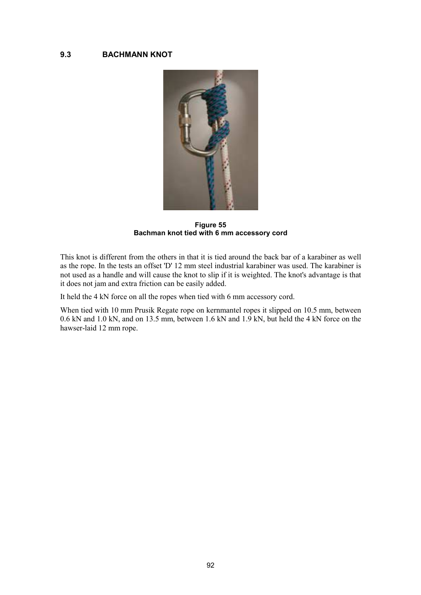#### **9.3 BACHMANN KNOT**



**Figure 55 Bachman knot tied with 6 mm accessory cord** 

This knot is different from the others in that it is tied around the back bar of a karabiner as well as the rope. In the tests an offset 'D' 12 mm steel industrial karabiner was used. The karabiner is not used as a handle and will cause the knot to slip if it is weighted. The knot's advantage is that it does not jam and extra friction can be easily added.

It held the 4 kN force on all the ropes when tied with 6 mm accessory cord.

When tied with 10 mm Prusik Regate rope on kernmantel ropes it slipped on 10.5 mm, between 0.6 kN and 1.0 kN, and on 13.5 mm, between 1.6 kN and 1.9 kN, but held the 4 kN force on the hawser-laid 12 mm rope.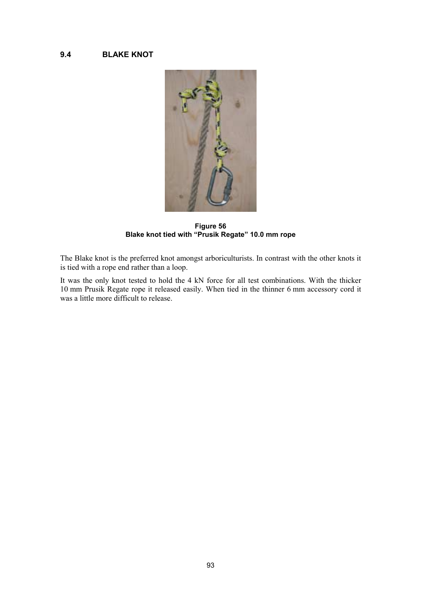#### **9.4 BLAKE KNOT**



**Figure 56 Blake knot tied with "Prusik Regate" 10.0 mm rope** 

The Blake knot is the preferred knot amongst arboriculturists. In contrast with the other knots it is tied with a rope end rather than a loop.

It was the only knot tested to hold the 4 kN force for all test combinations. With the thicker 10 mm Prusik Regate rope it released easily. When tied in the thinner 6 mm accessory cord it was a little more difficult to release.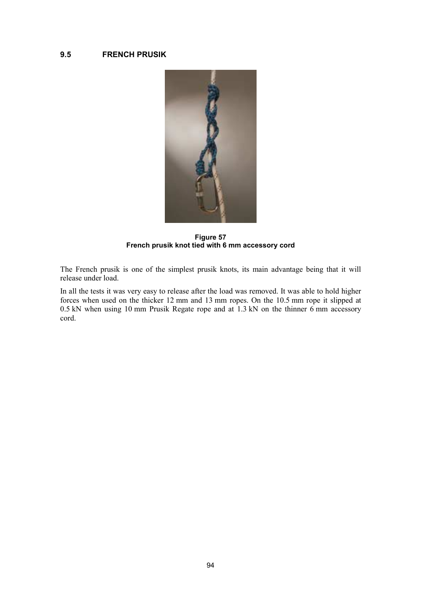#### **9.5 FRENCH PRUSIK**



**Figure 57 French prusik knot tied with 6 mm accessory cord** 

The French prusik is one of the simplest prusik knots, its main advantage being that it will release under load.

In all the tests it was very easy to release after the load was removed. It was able to hold higher forces when used on the thicker 12 mm and 13 mm ropes. On the 10.5 mm rope it slipped at 0.5 kN when using 10 mm Prusik Regate rope and at 1.3 kN on the thinner  $\vec{6}$  mm accessory cord.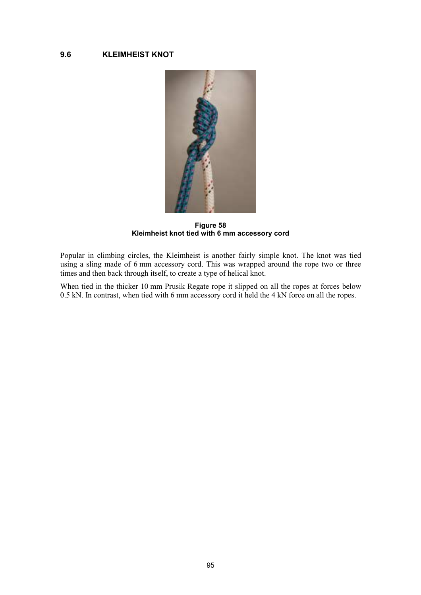#### **9.6 KLEIMHEIST KNOT**



**Figure 58 Kleimheist knot tied with 6 mm accessory cord** 

Popular in climbing circles, the Kleimheist is another fairly simple knot. The knot was tied using a sling made of 6 mm accessory cord. This was wrapped around the rope two or three times and then back through itself, to create a type of helical knot.

When tied in the thicker 10 mm Prusik Regate rope it slipped on all the ropes at forces below 0.5 kN. In contrast, when tied with 6 mm accessory cord it held the 4 kN force on all the ropes.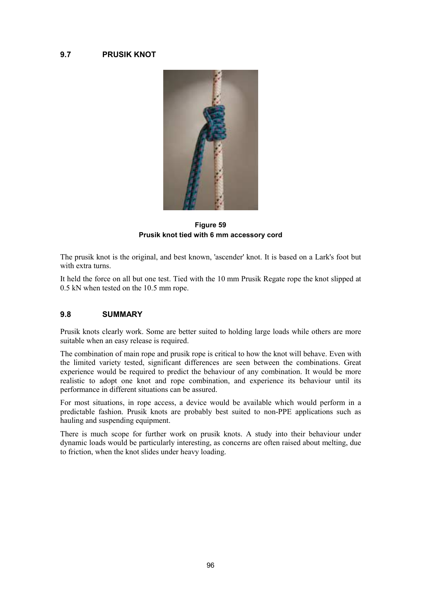

**Figure 59 Prusik knot tied with 6 mm accessory cord** 

The prusik knot is the original, and best known, 'ascender' knot. It is based on a Lark's foot but with extra turns.

It held the force on all but one test. Tied with the 10 mm Prusik Regate rope the knot slipped at 0.5 kN when tested on the 10.5 mm rope.

#### **9.8 SUMMARY**

Prusik knots clearly work. Some are better suited to holding large loads while others are more suitable when an easy release is required.

The combination of main rope and prusik rope is critical to how the knot will behave. Even with the limited variety tested, significant differences are seen between the combinations. Great experience would be required to predict the behaviour of any combination. It would be more realistic to adopt one knot and rope combination, and experience its behaviour until its performance in different situations can be assured.

For most situations, in rope access, a device would be available which would perform in a predictable fashion. Prusik knots are probably best suited to non-PPE applications such as hauling and suspending equipment.

There is much scope for further work on prusik knots. A study into their behaviour under dynamic loads would be particularly interesting, as concerns are often raised about melting, due to friction, when the knot slides under heavy loading.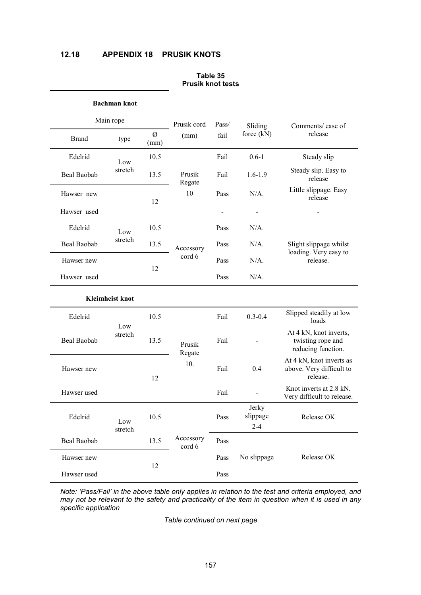#### **12.18 APPENDIX 18 PRUSIK KNOTS**

|              | <b>Bachman knot</b>    |           |                        |       |                              |                                                                   |
|--------------|------------------------|-----------|------------------------|-------|------------------------------|-------------------------------------------------------------------|
| Main rope    |                        |           | Prusik cord            | Pass/ | Sliding                      | Comments/ease of                                                  |
| <b>Brand</b> | type                   | Ø<br>(mm) | (mm)                   | fail  | force $(kN)$                 | release                                                           |
| Edelrid      | Low                    | 10.5      |                        | Fail  | $0.6 - 1$                    | Steady slip                                                       |
| Beal Baobab  | stretch                | 13.5      | Prusik<br>Regate<br>10 | Fail  | $1.6 - 1.9$                  | Steady slip. Easy to<br>release                                   |
| Hawser new   |                        | 12        |                        | Pass  | $N/A$ .                      | Little slippage. Easy<br>release                                  |
| Hawser used  |                        |           |                        |       | $\overline{\phantom{a}}$     | $\overline{\phantom{0}}$                                          |
| Edelrid      | Low                    | 10.5      | Accessory              | Pass  | $N/A$ .                      | Slight slippage whilst<br>loading. Very easy to<br>release.       |
| Beal Baobab  | stretch                | 13.5      |                        | Pass  | $N/A$ .                      |                                                                   |
| Hawser new   |                        |           | cord 6                 | Pass  | $N/A$ .                      |                                                                   |
| Hawser used  |                        | 12        |                        | Pass  | $N/A$ .                      |                                                                   |
|              | <b>Kleimheist knot</b> |           |                        |       |                              |                                                                   |
| Edelrid      |                        | 10.5      | Prusik<br>Regate       | Fail  | $0.3 - 0.4$                  | Slipped steadily at low<br>loads                                  |
| Beal Baobab  | Low<br>stretch         | 13.5      |                        | Fail  |                              | At 4 kN, knot inverts,<br>twisting rope and<br>reducing function. |
| Hawser new   |                        | 12        | 10.                    | Fail  | 0.4                          | At 4 kN, knot inverts as<br>above. Very difficult to<br>release   |
| Hawser used  |                        |           |                        | Fail  |                              | Knot inverts at 2.8 kN.<br>Very difficult to release.             |
| Edelrid      | Low<br>stretch         | 10.5      | Accessory<br>cord 6    | Pass  | Jerky<br>slippage<br>$2 - 4$ | Release OK                                                        |
| Beal Baobab  |                        | 13.5      |                        | Pass  | No slippage                  |                                                                   |
| Hawser new   |                        | 12        |                        | Pass  |                              | Release OK                                                        |
| Hawser used  |                        |           |                        | Pass  |                              |                                                                   |

#### **Table 35 Prusik knot tests**

*Note: 'Pass/Fail' in the above table only applies in relation to the test and criteria employed, and may not be relevant to the safety and practicality of the item in question when it is used in any specific application* 

*Table continued on next page*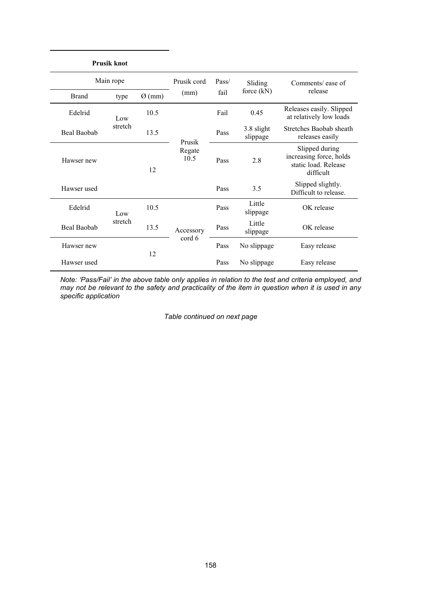|              | <b>Prusik knot</b> |                    |                     |             |                        |                                                                                |
|--------------|--------------------|--------------------|---------------------|-------------|------------------------|--------------------------------------------------------------------------------|
| Main rope    |                    |                    | Prusik cord         | Pass/       | Sliding                | Comments/ease of                                                               |
| <b>Brand</b> | type               | $\varnothing$ (mm) | (mm)                | fail        | force $(kN)$           | release                                                                        |
| Edelrid      | Low<br>stretch     | 10.5               | Prusik              | Fail        | 0.45                   | Releases easily. Slipped<br>at relatively low loads                            |
| Beal Baobab  |                    | 13.5               |                     | Pass        | 3.8 slight<br>slippage | Stretches Baobab sheath<br>releases easily                                     |
| Hawser new   |                    | 12                 | Regate<br>10.5      | Pass        | 2.8                    | Slipped during<br>increasing force, holds<br>static load. Release<br>difficult |
| Hawser used  |                    |                    |                     | Pass        | 3.5                    | Slipped slightly.<br>Difficult to release.                                     |
| Edelrid      | Low<br>stretch     | 10.5               | Accessory<br>cord 6 | Pass        | Little<br>slippage     | OK release                                                                     |
| Beal Baobab  |                    | 13.5               |                     | Pass        | Little<br>slippage     | OK release                                                                     |
| Hawser new   |                    | 12                 |                     | Pass        | No slippage            | Easy release                                                                   |
| Hawser used  |                    |                    | Pass                | No slippage | Easy release           |                                                                                |

*Note: 'Pass/Fail' in the above table only applies in relation to the test and criteria employed, and may not be relevant to the safety and practicality of the item in question when it is used in any specific application* 

*Table continued on next page*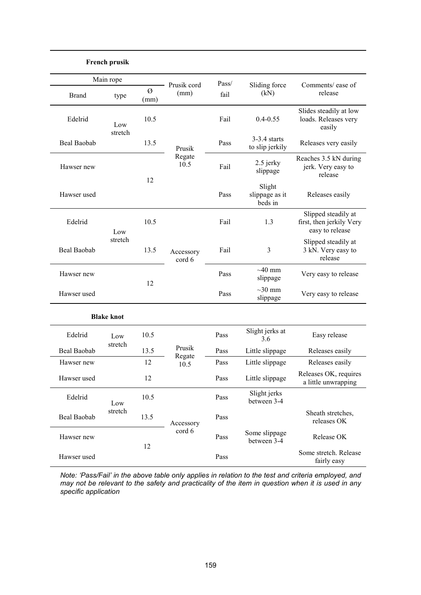|                    | <b>French prusik</b> |           |                          |       |                                     |                                                                    |  |
|--------------------|----------------------|-----------|--------------------------|-------|-------------------------------------|--------------------------------------------------------------------|--|
| Main rope          |                      |           |                          | Pass/ |                                     |                                                                    |  |
| <b>Brand</b>       | type                 | Ø<br>(mm) | Prusik cord<br>(mm)      | fail  | Sliding force<br>(kN)               | Comments/ease of<br>release                                        |  |
| Edelrid            | Low<br>stretch       | 10.5      | Prusik<br>Regate<br>10.5 | Fail  | $0.4 - 0.55$                        | Slides steadily at low<br>loads. Releases very<br>easily           |  |
| <b>Beal Baobab</b> |                      | 13.5      |                          | Pass  | $3-3.4$ starts<br>to slip jerkily   | Releases very easily                                               |  |
| Hawser new         |                      |           |                          | Fail  | 2.5 jerky<br>slippage               | Reaches 3.5 kN during<br>jerk. Very easy to<br>release             |  |
| Hawser used        |                      | 12        |                          | Pass  | Slight<br>slippage as it<br>beds in | Releases easily                                                    |  |
| Edelrid            | Low                  | 10.5      |                          | Fail  | 1.3                                 | Slipped steadily at<br>first, then jerkily Very<br>easy to release |  |
| <b>Beal Baobab</b> | stretch              | 13.5      | Accessory<br>cord 6      | Fail  | 3                                   | Slipped steadily at<br>3 kN. Very easy to<br>release               |  |
| Hawser new         |                      | 12        |                          | Pass  | $\sim$ 40 mm<br>slippage            | Very easy to release                                               |  |
| Hawser used        |                      |           |                          | Pass  | $\sim$ 30 mm<br>slippage            | Very easy to release                                               |  |
| <b>Blake knot</b>  |                      |           |                          |       |                                     |                                                                    |  |
| Edelrid            | Low                  | 10.5      |                          | Pass  | Slight jerks at<br>3.6              | Easy release                                                       |  |
| <b>Beal Baobab</b> | stretch              | 13.5      | Prusik                   | Pass  | Little slippage                     | Releases easily                                                    |  |
| Hawser new         |                      | 12        | Regate<br>10.5           | Pass  | Little slippage                     | Releases easily                                                    |  |
| Hawser used        |                      | 12        |                          | Pass  | Little slippage                     | Releases OK, requires<br>a little unwrapping                       |  |
| Edelrid            | Low                  | 10.5      |                          | Pass  | Slight jerks<br>between 3-4         |                                                                    |  |
| Beal Baobab        | stretch              | 13.5      | Accessory                | Pass  |                                     | Sheath stretches,<br>releases OK                                   |  |
| Hawser new         |                      | 12        | cord 6                   | Pass  | Some slippage<br>between 3-4        | Release OK                                                         |  |
| Hawser used        |                      |           |                          | Pass  |                                     | Some stretch. Release<br>fairly easy                               |  |

*Note: 'Pass/Fail' in the above table only applies in relation to the test and criteria employed, and may not be relevant to the safety and practicality of the item in question when it is used in any specific application*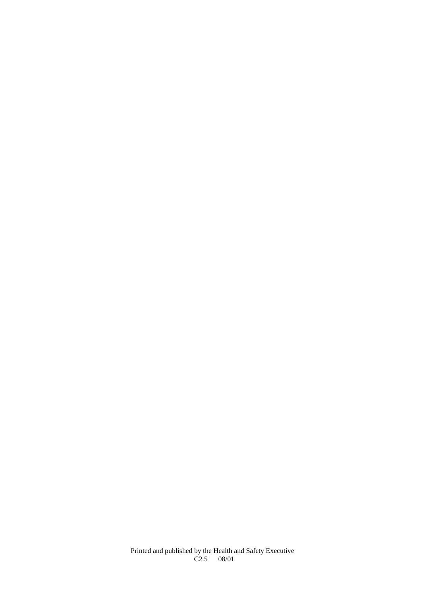Printed and published by the Health and Safety Executive  $C2.5$  08/01